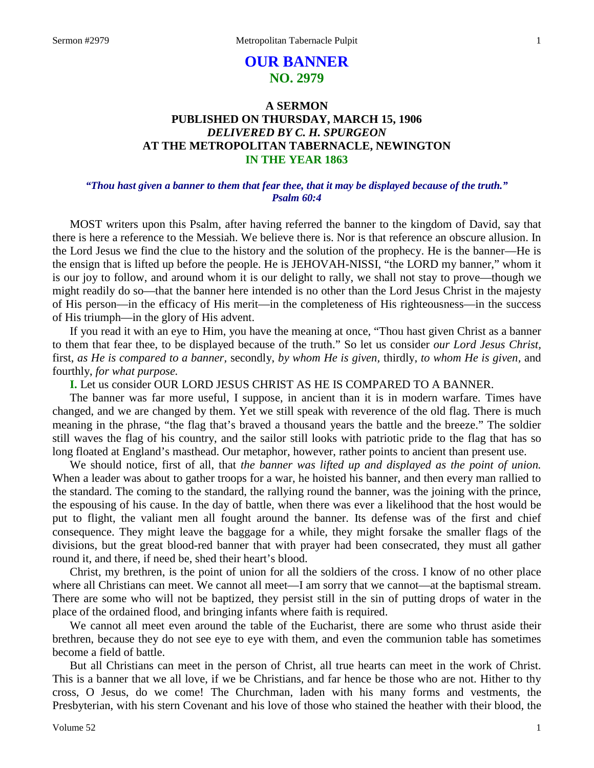# **OUR BANNER NO. 2979**

# **A SERMON PUBLISHED ON THURSDAY, MARCH 15, 1906** *DELIVERED BY C. H. SPURGEON* **AT THE METROPOLITAN TABERNACLE, NEWINGTON IN THE YEAR 1863**

# *"Thou hast given a banner to them that fear thee, that it may be displayed because of the truth." Psalm 60:4*

MOST writers upon this Psalm, after having referred the banner to the kingdom of David, say that there is here a reference to the Messiah. We believe there is. Nor is that reference an obscure allusion. In the Lord Jesus we find the clue to the history and the solution of the prophecy. He is the banner—He is the ensign that is lifted up before the people. He is JEHOVAH-NISSI, "the LORD my banner," whom it is our joy to follow, and around whom it is our delight to rally, we shall not stay to prove—though we might readily do so—that the banner here intended is no other than the Lord Jesus Christ in the majesty of His person—in the efficacy of His merit—in the completeness of His righteousness—in the success of His triumph—in the glory of His advent.

If you read it with an eye to Him, you have the meaning at once, "Thou hast given Christ as a banner to them that fear thee, to be displayed because of the truth." So let us consider *our Lord Jesus Christ,* first, *as He is compared to a banner,* secondly, *by whom He is given,* thirdly, *to whom He is given,* and fourthly, *for what purpose.*

**I.** Let us consider OUR LORD JESUS CHRIST AS HE IS COMPARED TO A BANNER.

The banner was far more useful, I suppose, in ancient than it is in modern warfare. Times have changed, and we are changed by them. Yet we still speak with reverence of the old flag. There is much meaning in the phrase, "the flag that's braved a thousand years the battle and the breeze." The soldier still waves the flag of his country, and the sailor still looks with patriotic pride to the flag that has so long floated at England's masthead. Our metaphor, however, rather points to ancient than present use.

We should notice, first of all, that *the banner was lifted up and displayed as the point of union.* When a leader was about to gather troops for a war, he hoisted his banner, and then every man rallied to the standard. The coming to the standard, the rallying round the banner, was the joining with the prince, the espousing of his cause. In the day of battle, when there was ever a likelihood that the host would be put to flight, the valiant men all fought around the banner. Its defense was of the first and chief consequence. They might leave the baggage for a while, they might forsake the smaller flags of the divisions, but the great blood-red banner that with prayer had been consecrated, they must all gather round it, and there, if need be, shed their heart's blood.

Christ, my brethren, is the point of union for all the soldiers of the cross. I know of no other place where all Christians can meet. We cannot all meet—I am sorry that we cannot—at the baptismal stream. There are some who will not be baptized, they persist still in the sin of putting drops of water in the place of the ordained flood, and bringing infants where faith is required.

We cannot all meet even around the table of the Eucharist, there are some who thrust aside their brethren, because they do not see eye to eye with them, and even the communion table has sometimes become a field of battle.

But all Christians can meet in the person of Christ, all true hearts can meet in the work of Christ. This is a banner that we all love, if we be Christians, and far hence be those who are not. Hither to thy cross, O Jesus, do we come! The Churchman, laden with his many forms and vestments, the Presbyterian, with his stern Covenant and his love of those who stained the heather with their blood, the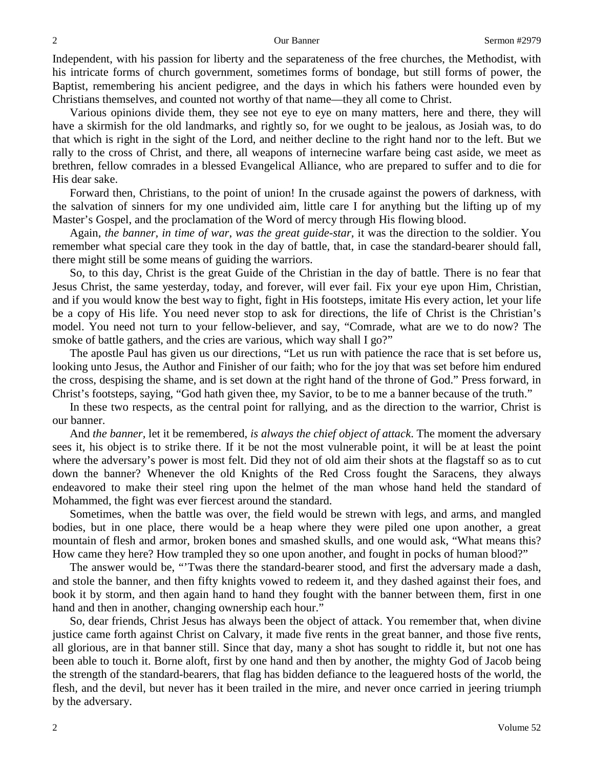Independent, with his passion for liberty and the separateness of the free churches, the Methodist, with his intricate forms of church government, sometimes forms of bondage, but still forms of power, the Baptist, remembering his ancient pedigree, and the days in which his fathers were hounded even by Christians themselves, and counted not worthy of that name—they all come to Christ.

Various opinions divide them, they see not eye to eye on many matters, here and there, they will have a skirmish for the old landmarks, and rightly so, for we ought to be jealous, as Josiah was, to do that which is right in the sight of the Lord, and neither decline to the right hand nor to the left. But we rally to the cross of Christ, and there, all weapons of internecine warfare being cast aside, we meet as brethren, fellow comrades in a blessed Evangelical Alliance, who are prepared to suffer and to die for His dear sake.

Forward then, Christians, to the point of union! In the crusade against the powers of darkness, with the salvation of sinners for my one undivided aim, little care I for anything but the lifting up of my Master's Gospel, and the proclamation of the Word of mercy through His flowing blood.

Again, *the banner, in time of war, was the great guide-star,* it was the direction to the soldier. You remember what special care they took in the day of battle, that, in case the standard-bearer should fall, there might still be some means of guiding the warriors.

So, to this day, Christ is the great Guide of the Christian in the day of battle. There is no fear that Jesus Christ, the same yesterday, today, and forever, will ever fail. Fix your eye upon Him, Christian, and if you would know the best way to fight, fight in His footsteps, imitate His every action, let your life be a copy of His life. You need never stop to ask for directions, the life of Christ is the Christian's model. You need not turn to your fellow-believer, and say, "Comrade, what are we to do now? The smoke of battle gathers, and the cries are various, which way shall I go?"

The apostle Paul has given us our directions, "Let us run with patience the race that is set before us, looking unto Jesus, the Author and Finisher of our faith; who for the joy that was set before him endured the cross, despising the shame, and is set down at the right hand of the throne of God." Press forward, in Christ's footsteps, saying, "God hath given thee, my Savior, to be to me a banner because of the truth."

In these two respects, as the central point for rallying, and as the direction to the warrior, Christ is our banner.

And *the banner,* let it be remembered, *is always the chief object of attack*. The moment the adversary sees it, his object is to strike there. If it be not the most vulnerable point, it will be at least the point where the adversary's power is most felt. Did they not of old aim their shots at the flagstaff so as to cut down the banner? Whenever the old Knights of the Red Cross fought the Saracens, they always endeavored to make their steel ring upon the helmet of the man whose hand held the standard of Mohammed, the fight was ever fiercest around the standard.

Sometimes, when the battle was over, the field would be strewn with legs, and arms, and mangled bodies, but in one place, there would be a heap where they were piled one upon another, a great mountain of flesh and armor, broken bones and smashed skulls, and one would ask, "What means this? How came they here? How trampled they so one upon another, and fought in pocks of human blood?"

The answer would be, "'Twas there the standard-bearer stood, and first the adversary made a dash, and stole the banner, and then fifty knights vowed to redeem it, and they dashed against their foes, and book it by storm, and then again hand to hand they fought with the banner between them, first in one hand and then in another, changing ownership each hour."

So, dear friends, Christ Jesus has always been the object of attack. You remember that, when divine justice came forth against Christ on Calvary, it made five rents in the great banner, and those five rents, all glorious, are in that banner still. Since that day, many a shot has sought to riddle it, but not one has been able to touch it. Borne aloft, first by one hand and then by another, the mighty God of Jacob being the strength of the standard-bearers, that flag has bidden defiance to the leaguered hosts of the world, the flesh, and the devil, but never has it been trailed in the mire, and never once carried in jeering triumph by the adversary.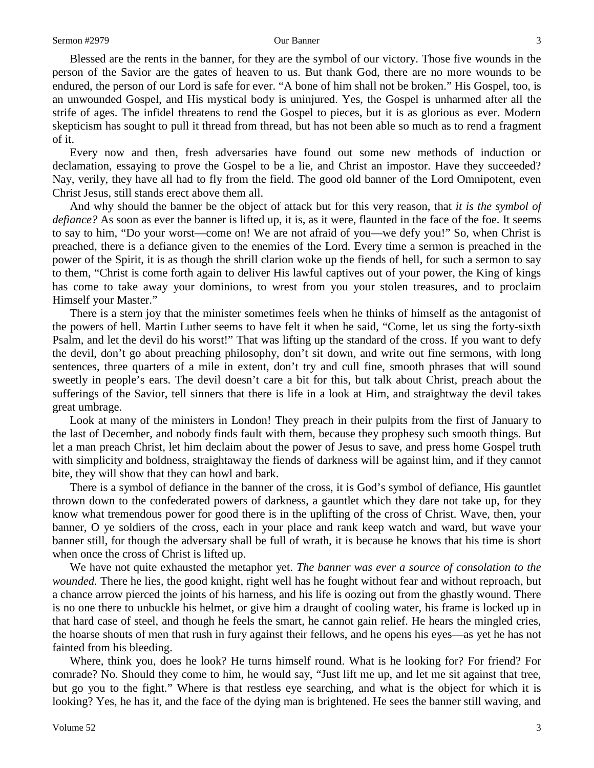Blessed are the rents in the banner, for they are the symbol of our victory. Those five wounds in the person of the Savior are the gates of heaven to us. But thank God, there are no more wounds to be endured, the person of our Lord is safe for ever. "A bone of him shall not be broken." His Gospel, too, is an unwounded Gospel, and His mystical body is uninjured. Yes, the Gospel is unharmed after all the strife of ages. The infidel threatens to rend the Gospel to pieces, but it is as glorious as ever. Modern skepticism has sought to pull it thread from thread, but has not been able so much as to rend a fragment of it.

Every now and then, fresh adversaries have found out some new methods of induction or declamation, essaying to prove the Gospel to be a lie, and Christ an impostor. Have they succeeded? Nay, verily, they have all had to fly from the field. The good old banner of the Lord Omnipotent, even Christ Jesus, still stands erect above them all.

And why should the banner be the object of attack but for this very reason, that *it is the symbol of defiance?* As soon as ever the banner is lifted up, it is, as it were, flaunted in the face of the foe. It seems to say to him, "Do your worst—come on! We are not afraid of you—we defy you!" So, when Christ is preached, there is a defiance given to the enemies of the Lord. Every time a sermon is preached in the power of the Spirit, it is as though the shrill clarion woke up the fiends of hell, for such a sermon to say to them, "Christ is come forth again to deliver His lawful captives out of your power, the King of kings has come to take away your dominions, to wrest from you your stolen treasures, and to proclaim Himself your Master."

There is a stern joy that the minister sometimes feels when he thinks of himself as the antagonist of the powers of hell. Martin Luther seems to have felt it when he said, "Come, let us sing the forty-sixth Psalm, and let the devil do his worst!" That was lifting up the standard of the cross. If you want to defy the devil, don't go about preaching philosophy, don't sit down, and write out fine sermons, with long sentences, three quarters of a mile in extent, don't try and cull fine, smooth phrases that will sound sweetly in people's ears. The devil doesn't care a bit for this, but talk about Christ, preach about the sufferings of the Savior, tell sinners that there is life in a look at Him, and straightway the devil takes great umbrage.

Look at many of the ministers in London! They preach in their pulpits from the first of January to the last of December, and nobody finds fault with them, because they prophesy such smooth things. But let a man preach Christ, let him declaim about the power of Jesus to save, and press home Gospel truth with simplicity and boldness, straightaway the fiends of darkness will be against him, and if they cannot bite, they will show that they can howl and bark.

There is a symbol of defiance in the banner of the cross, it is God's symbol of defiance, His gauntlet thrown down to the confederated powers of darkness, a gauntlet which they dare not take up, for they know what tremendous power for good there is in the uplifting of the cross of Christ. Wave, then, your banner, O ye soldiers of the cross, each in your place and rank keep watch and ward, but wave your banner still, for though the adversary shall be full of wrath, it is because he knows that his time is short when once the cross of Christ is lifted up.

We have not quite exhausted the metaphor yet. *The banner was ever a source of consolation to the wounded.* There he lies, the good knight, right well has he fought without fear and without reproach, but a chance arrow pierced the joints of his harness, and his life is oozing out from the ghastly wound. There is no one there to unbuckle his helmet, or give him a draught of cooling water, his frame is locked up in that hard case of steel, and though he feels the smart, he cannot gain relief. He hears the mingled cries, the hoarse shouts of men that rush in fury against their fellows, and he opens his eyes—as yet he has not fainted from his bleeding.

Where, think you, does he look? He turns himself round. What is he looking for? For friend? For comrade? No. Should they come to him, he would say, "Just lift me up, and let me sit against that tree, but go you to the fight." Where is that restless eye searching, and what is the object for which it is looking? Yes, he has it, and the face of the dying man is brightened. He sees the banner still waving, and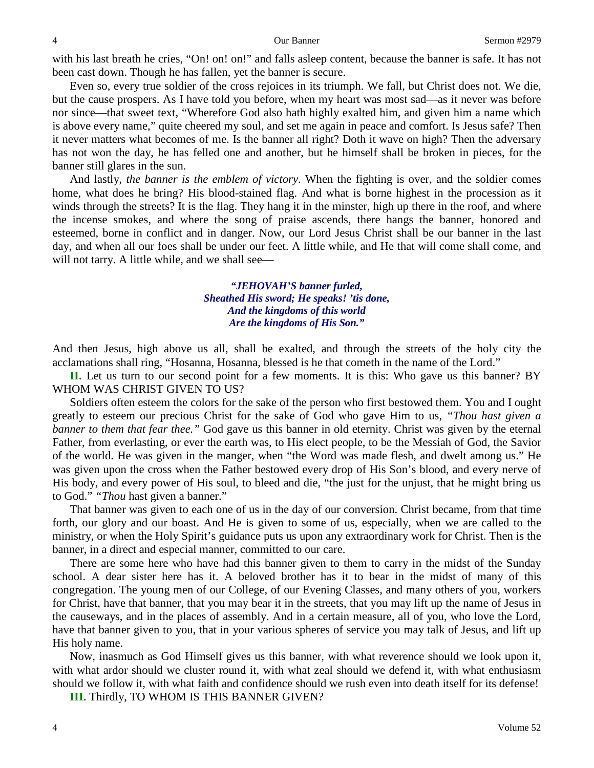with his last breath he cries, "On! on!" and falls asleep content, because the banner is safe. It has not been cast down. Though he has fallen, yet the banner is secure.

Even so, every true soldier of the cross rejoices in its triumph. We fall, but Christ does not. We die, but the cause prospers. As I have told you before, when my heart was most sad—as it never was before nor since—that sweet text, "Wherefore God also hath highly exalted him, and given him a name which is above every name," quite cheered my soul, and set me again in peace and comfort. Is Jesus safe? Then it never matters what becomes of me. Is the banner all right? Doth it wave on high? Then the adversary has not won the day, he has felled one and another, but he himself shall be broken in pieces, for the banner still glares in the sun.

And lastly, *the banner is the emblem of victory*. When the fighting is over, and the soldier comes home, what does he bring? His blood-stained flag. And what is borne highest in the procession as it winds through the streets? It is the flag. They hang it in the minster, high up there in the roof, and where the incense smokes, and where the song of praise ascends, there hangs the banner, honored and esteemed, borne in conflict and in danger. Now, our Lord Jesus Christ shall be our banner in the last day, and when all our foes shall be under our feet. A little while, and He that will come shall come, and will not tarry. A little while, and we shall see—

> *"JEHOVAH'S banner furled, Sheathed His sword; He speaks! 'tis done, And the kingdoms of this world Are the kingdoms of His Son."*

And then Jesus, high above us all, shall be exalted, and through the streets of the holy city the acclamations shall ring, "Hosanna, Hosanna, blessed is he that cometh in the name of the Lord."

**II.** Let us turn to our second point for a few moments. It is this: Who gave us this banner? BY WHOM WAS CHRIST GIVEN TO US?

Soldiers often esteem the colors for the sake of the person who first bestowed them. You and I ought greatly to esteem our precious Christ for the sake of God who gave Him to us, *"Thou hast given a banner to them that fear thee."* God gave us this banner in old eternity. Christ was given by the eternal Father, from everlasting, or ever the earth was, to His elect people, to be the Messiah of God, the Savior of the world. He was given in the manger, when "the Word was made flesh, and dwelt among us." He was given upon the cross when the Father bestowed every drop of His Son's blood, and every nerve of His body, and every power of His soul, to bleed and die, "the just for the unjust, that he might bring us to God." *"Thou* hast given a banner."

That banner was given to each one of us in the day of our conversion. Christ became, from that time forth, our glory and our boast. And He is given to some of us, especially, when we are called to the ministry, or when the Holy Spirit's guidance puts us upon any extraordinary work for Christ. Then is the banner, in a direct and especial manner, committed to our care.

There are some here who have had this banner given to them to carry in the midst of the Sunday school. A dear sister here has it. A beloved brother has it to bear in the midst of many of this congregation. The young men of our College, of our Evening Classes, and many others of you, workers for Christ, have that banner, that you may bear it in the streets, that you may lift up the name of Jesus in the causeways, and in the places of assembly. And in a certain measure, all of you, who love the Lord, have that banner given to you, that in your various spheres of service you may talk of Jesus, and lift up His holy name.

Now, inasmuch as God Himself gives us this banner, with what reverence should we look upon it, with what ardor should we cluster round it, with what zeal should we defend it, with what enthusiasm should we follow it, with what faith and confidence should we rush even into death itself for its defense!

**III.** Thirdly, TO WHOM IS THIS BANNER GIVEN?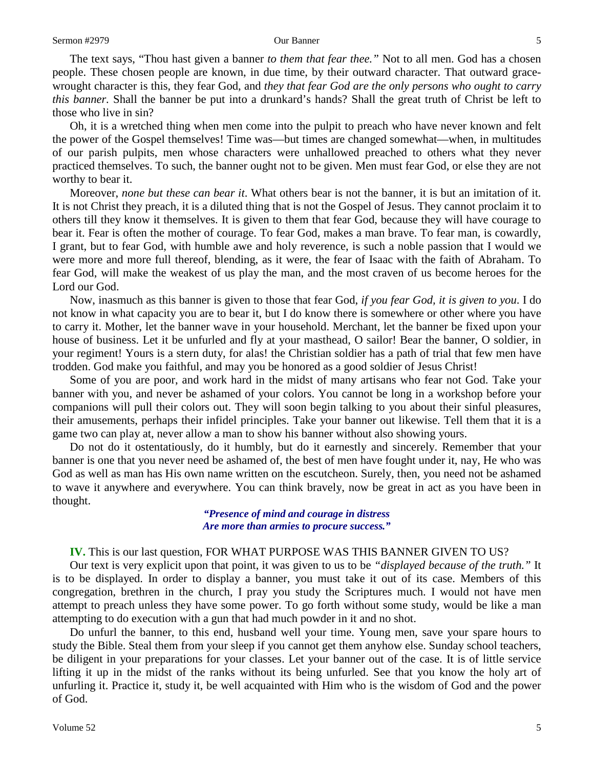The text says, "Thou hast given a banner *to them that fear thee."* Not to all men. God has a chosen people. These chosen people are known, in due time, by their outward character. That outward gracewrought character is this, they fear God, and *they that fear God are the only persons who ought to carry this banner.* Shall the banner be put into a drunkard's hands? Shall the great truth of Christ be left to those who live in sin?

Oh, it is a wretched thing when men come into the pulpit to preach who have never known and felt the power of the Gospel themselves! Time was—but times are changed somewhat—when, in multitudes of our parish pulpits, men whose characters were unhallowed preached to others what they never practiced themselves. To such, the banner ought not to be given. Men must fear God, or else they are not worthy to bear it.

Moreover, *none but these can bear it*. What others bear is not the banner, it is but an imitation of it. It is not Christ they preach, it is a diluted thing that is not the Gospel of Jesus. They cannot proclaim it to others till they know it themselves. It is given to them that fear God, because they will have courage to bear it. Fear is often the mother of courage. To fear God, makes a man brave. To fear man, is cowardly, I grant, but to fear God, with humble awe and holy reverence, is such a noble passion that I would we were more and more full thereof, blending, as it were, the fear of Isaac with the faith of Abraham. To fear God, will make the weakest of us play the man, and the most craven of us become heroes for the Lord our God.

Now, inasmuch as this banner is given to those that fear God, *if you fear God, it is given to you*. I do not know in what capacity you are to bear it, but I do know there is somewhere or other where you have to carry it. Mother, let the banner wave in your household. Merchant, let the banner be fixed upon your house of business. Let it be unfurled and fly at your masthead, O sailor! Bear the banner, O soldier, in your regiment! Yours is a stern duty, for alas! the Christian soldier has a path of trial that few men have trodden. God make you faithful, and may you be honored as a good soldier of Jesus Christ!

Some of you are poor, and work hard in the midst of many artisans who fear not God. Take your banner with you, and never be ashamed of your colors. You cannot be long in a workshop before your companions will pull their colors out. They will soon begin talking to you about their sinful pleasures, their amusements, perhaps their infidel principles. Take your banner out likewise. Tell them that it is a game two can play at, never allow a man to show his banner without also showing yours.

Do not do it ostentatiously, do it humbly, but do it earnestly and sincerely. Remember that your banner is one that you never need be ashamed of, the best of men have fought under it, nay, He who was God as well as man has His own name written on the escutcheon. Surely, then, you need not be ashamed to wave it anywhere and everywhere. You can think bravely, now be great in act as you have been in thought.

> *"Presence of mind and courage in distress Are more than armies to procure success."*

### **IV.** This is our last question, FOR WHAT PURPOSE WAS THIS BANNER GIVEN TO US?

Our text is very explicit upon that point, it was given to us to be *"displayed because of the truth."* It is to be displayed. In order to display a banner, you must take it out of its case. Members of this congregation, brethren in the church, I pray you study the Scriptures much. I would not have men attempt to preach unless they have some power. To go forth without some study, would be like a man attempting to do execution with a gun that had much powder in it and no shot.

Do unfurl the banner, to this end, husband well your time. Young men, save your spare hours to study the Bible. Steal them from your sleep if you cannot get them anyhow else. Sunday school teachers, be diligent in your preparations for your classes. Let your banner out of the case. It is of little service lifting it up in the midst of the ranks without its being unfurled. See that you know the holy art of unfurling it. Practice it, study it, be well acquainted with Him who is the wisdom of God and the power of God.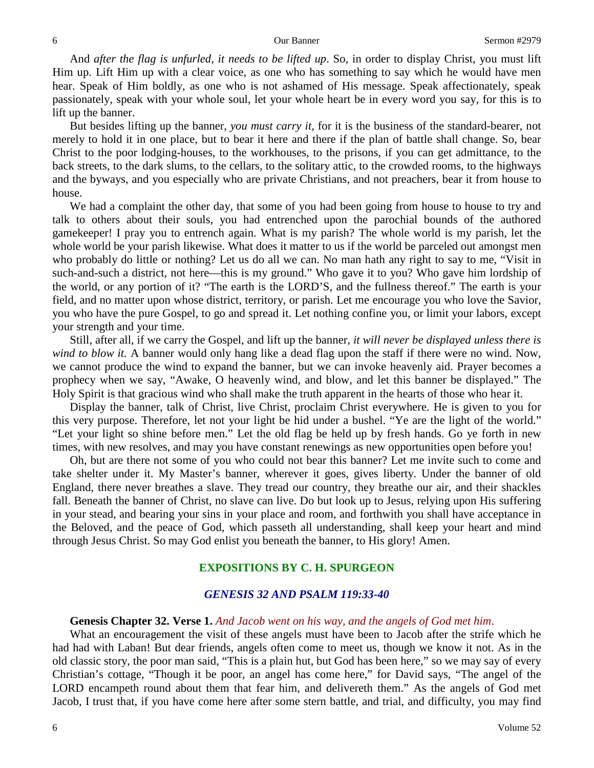And *after the flag is unfurled, it needs to be lifted up*. So, in order to display Christ, you must lift Him up. Lift Him up with a clear voice, as one who has something to say which he would have men hear. Speak of Him boldly, as one who is not ashamed of His message. Speak affectionately, speak passionately, speak with your whole soul, let your whole heart be in every word you say, for this is to lift up the banner.

But besides lifting up the banner, *you must carry it,* for it is the business of the standard-bearer, not merely to hold it in one place, but to bear it here and there if the plan of battle shall change. So, bear Christ to the poor lodging-houses, to the workhouses, to the prisons, if you can get admittance, to the back streets, to the dark slums, to the cellars, to the solitary attic, to the crowded rooms, to the highways and the byways, and you especially who are private Christians, and not preachers, bear it from house to house.

We had a complaint the other day, that some of you had been going from house to house to try and talk to others about their souls, you had entrenched upon the parochial bounds of the authored gamekeeper! I pray you to entrench again. What is my parish? The whole world is my parish, let the whole world be your parish likewise. What does it matter to us if the world be parceled out amongst men who probably do little or nothing? Let us do all we can. No man hath any right to say to me, "Visit in such-and-such a district, not here—this is my ground." Who gave it to you? Who gave him lordship of the world, or any portion of it? "The earth is the LORD'S, and the fullness thereof." The earth is your field, and no matter upon whose district, territory, or parish. Let me encourage you who love the Savior, you who have the pure Gospel, to go and spread it. Let nothing confine you, or limit your labors, except your strength and your time.

Still, after all, if we carry the Gospel, and lift up the banner, *it will never be displayed unless there is wind to blow it.* A banner would only hang like a dead flag upon the staff if there were no wind. Now, we cannot produce the wind to expand the banner, but we can invoke heavenly aid. Prayer becomes a prophecy when we say, "Awake, O heavenly wind, and blow, and let this banner be displayed." The Holy Spirit is that gracious wind who shall make the truth apparent in the hearts of those who hear it.

Display the banner, talk of Christ, live Christ, proclaim Christ everywhere. He is given to you for this very purpose. Therefore, let not your light be hid under a bushel. "Ye are the light of the world." "Let your light so shine before men." Let the old flag be held up by fresh hands. Go ye forth in new times, with new resolves, and may you have constant renewings as new opportunities open before you!

Oh, but are there not some of you who could not bear this banner? Let me invite such to come and take shelter under it. My Master's banner, wherever it goes, gives liberty. Under the banner of old England, there never breathes a slave. They tread our country, they breathe our air, and their shackles fall. Beneath the banner of Christ, no slave can live. Do but look up to Jesus, relying upon His suffering in your stead, and bearing your sins in your place and room, and forthwith you shall have acceptance in the Beloved, and the peace of God, which passeth all understanding, shall keep your heart and mind through Jesus Christ. So may God enlist you beneath the banner, to His glory! Amen.

# **EXPOSITIONS BY C. H. SPURGEON**

# *GENESIS 32 AND PSALM 119:33-40*

### **Genesis Chapter 32. Verse 1.** *And Jacob went on his way, and the angels of God met him*.

What an encouragement the visit of these angels must have been to Jacob after the strife which he had had with Laban! But dear friends, angels often come to meet us, though we know it not. As in the old classic story, the poor man said, "This is a plain hut, but God has been here," so we may say of every Christian's cottage, "Though it be poor, an angel has come here," for David says, "The angel of the LORD encampeth round about them that fear him, and delivereth them." As the angels of God met Jacob, I trust that, if you have come here after some stern battle, and trial, and difficulty, you may find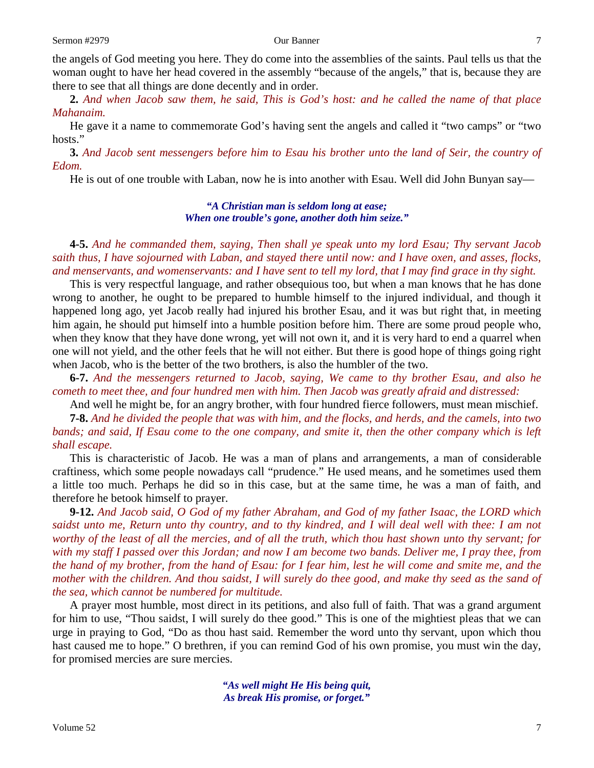the angels of God meeting you here. They do come into the assemblies of the saints. Paul tells us that the woman ought to have her head covered in the assembly "because of the angels," that is, because they are there to see that all things are done decently and in order.

**2.** *And when Jacob saw them, he said, This is God's host: and he called the name of that place Mahanaim.*

He gave it a name to commemorate God's having sent the angels and called it "two camps" or "two hosts."

**3.** *And Jacob sent messengers before him to Esau his brother unto the land of Seir, the country of Edom.*

He is out of one trouble with Laban, now he is into another with Esau. Well did John Bunyan say—

# *"A Christian man is seldom long at ease; When one trouble's gone, another doth him seize."*

**4-5.** *And he commanded them, saying, Then shall ye speak unto my lord Esau; Thy servant Jacob saith thus, I have sojourned with Laban, and stayed there until now: and I have oxen, and asses, flocks, and menservants, and womenservants: and I have sent to tell my lord, that I may find grace in thy sight.*

This is very respectful language, and rather obsequious too, but when a man knows that he has done wrong to another, he ought to be prepared to humble himself to the injured individual, and though it happened long ago, yet Jacob really had injured his brother Esau, and it was but right that, in meeting him again, he should put himself into a humble position before him. There are some proud people who, when they know that they have done wrong, yet will not own it, and it is very hard to end a quarrel when one will not yield, and the other feels that he will not either. But there is good hope of things going right when Jacob, who is the better of the two brothers, is also the humbler of the two.

**6-7.** *And the messengers returned to Jacob, saying, We came to thy brother Esau, and also he cometh to meet thee, and four hundred men with him. Then Jacob was greatly afraid and distressed:*

And well he might be, for an angry brother, with four hundred fierce followers, must mean mischief.

**7-8.** *And he divided the people that was with him, and the flocks, and herds, and the camels, into two bands; and said, If Esau come to the one company, and smite it, then the other company which is left shall escape.*

This is characteristic of Jacob. He was a man of plans and arrangements, a man of considerable craftiness, which some people nowadays call "prudence." He used means, and he sometimes used them a little too much. Perhaps he did so in this case, but at the same time, he was a man of faith, and therefore he betook himself to prayer.

**9-12.** *And Jacob said, O God of my father Abraham, and God of my father Isaac, the LORD which saidst unto me, Return unto thy country, and to thy kindred, and I will deal well with thee: I am not worthy of the least of all the mercies, and of all the truth, which thou hast shown unto thy servant; for with my staff I passed over this Jordan; and now I am become two bands. Deliver me, I pray thee, from the hand of my brother, from the hand of Esau: for I fear him, lest he will come and smite me, and the mother with the children. And thou saidst, I will surely do thee good, and make thy seed as the sand of the sea, which cannot be numbered for multitude.*

A prayer most humble, most direct in its petitions, and also full of faith. That was a grand argument for him to use, "Thou saidst, I will surely do thee good." This is one of the mightiest pleas that we can urge in praying to God, "Do as thou hast said. Remember the word unto thy servant, upon which thou hast caused me to hope." O brethren, if you can remind God of his own promise, you must win the day, for promised mercies are sure mercies.

> *"As well might He His being quit, As break His promise, or forget."*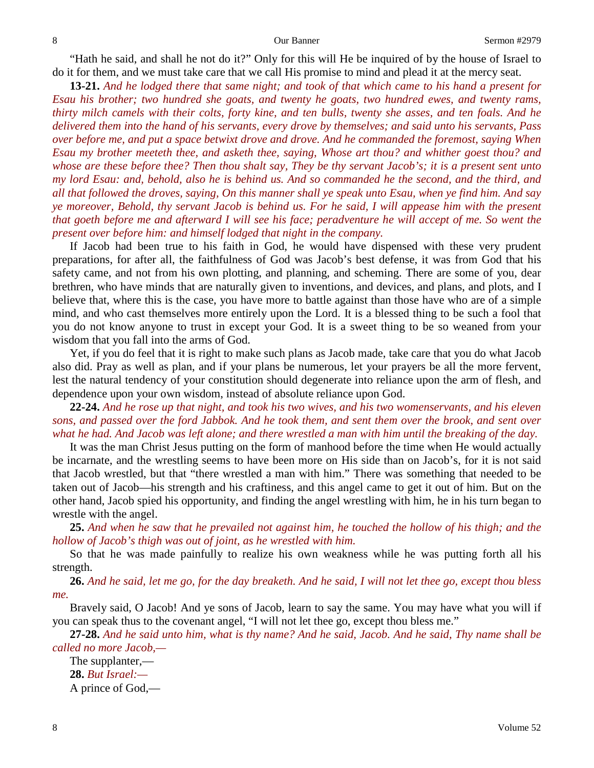"Hath he said, and shall he not do it?" Only for this will He be inquired of by the house of Israel to do it for them, and we must take care that we call His promise to mind and plead it at the mercy seat.

**13-21.** *And he lodged there that same night; and took of that which came to his hand a present for Esau his brother; two hundred she goats, and twenty he goats, two hundred ewes, and twenty rams, thirty milch camels with their colts, forty kine, and ten bulls, twenty she asses, and ten foals. And he delivered them into the hand of his servants, every drove by themselves; and said unto his servants, Pass over before me, and put a space betwixt drove and drove. And he commanded the foremost, saying When Esau my brother meeteth thee, and asketh thee, saying, Whose art thou? and whither goest thou? and whose are these before thee? Then thou shalt say, They be thy servant Jacob's; it is a present sent unto my lord Esau: and, behold, also he is behind us. And so commanded he the second, and the third, and all that followed the droves, saying, On this manner shall ye speak unto Esau, when ye find him. And say ye moreover, Behold, thy servant Jacob is behind us. For he said, I will appease him with the present that goeth before me and afterward I will see his face; peradventure he will accept of me. So went the present over before him: and himself lodged that night in the company.*

If Jacob had been true to his faith in God, he would have dispensed with these very prudent preparations, for after all, the faithfulness of God was Jacob's best defense, it was from God that his safety came, and not from his own plotting, and planning, and scheming. There are some of you, dear brethren, who have minds that are naturally given to inventions, and devices, and plans, and plots, and I believe that, where this is the case, you have more to battle against than those have who are of a simple mind, and who cast themselves more entirely upon the Lord. It is a blessed thing to be such a fool that you do not know anyone to trust in except your God. It is a sweet thing to be so weaned from your wisdom that you fall into the arms of God.

Yet, if you do feel that it is right to make such plans as Jacob made, take care that you do what Jacob also did. Pray as well as plan, and if your plans be numerous, let your prayers be all the more fervent, lest the natural tendency of your constitution should degenerate into reliance upon the arm of flesh, and dependence upon your own wisdom, instead of absolute reliance upon God.

**22-24.** *And he rose up that night, and took his two wives, and his two womenservants, and his eleven sons, and passed over the ford Jabbok. And he took them, and sent them over the brook, and sent over what he had. And Jacob was left alone; and there wrestled a man with him until the breaking of the day.*

It was the man Christ Jesus putting on the form of manhood before the time when He would actually be incarnate, and the wrestling seems to have been more on His side than on Jacob's, for it is not said that Jacob wrestled, but that "there wrestled a man with him." There was something that needed to be taken out of Jacob—his strength and his craftiness, and this angel came to get it out of him. But on the other hand, Jacob spied his opportunity, and finding the angel wrestling with him, he in his turn began to wrestle with the angel.

**25.** *And when he saw that he prevailed not against him, he touched the hollow of his thigh; and the hollow of Jacob's thigh was out of joint, as he wrestled with him.*

So that he was made painfully to realize his own weakness while he was putting forth all his strength.

**26.** *And he said, let me go, for the day breaketh. And he said, I will not let thee go, except thou bless me.*

Bravely said, O Jacob! And ye sons of Jacob, learn to say the same. You may have what you will if you can speak thus to the covenant angel, "I will not let thee go, except thou bless me."

**27-28.** *And he said unto him, what is thy name? And he said, Jacob. And he said, Thy name shall be called no more Jacob,—*

The supplanter,— **28.** *But Israel:—* A prince of God,—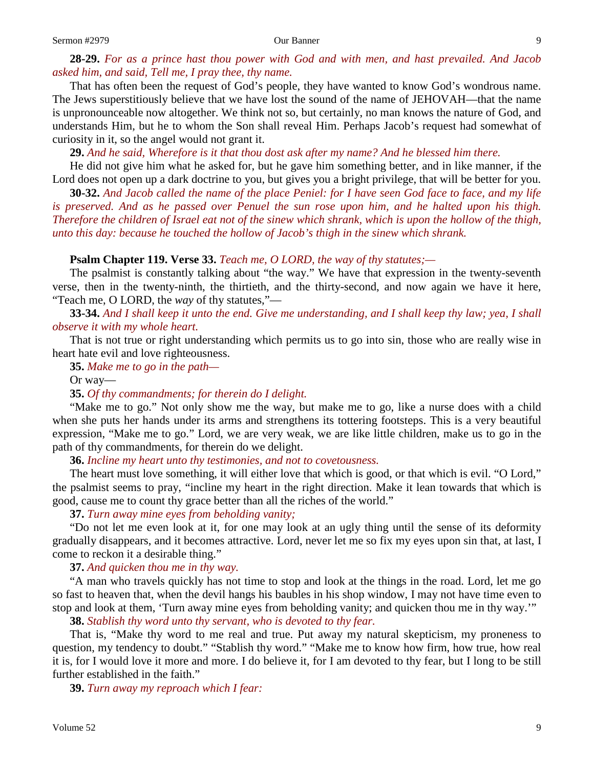# **28-29.** *For as a prince hast thou power with God and with men, and hast prevailed. And Jacob asked him, and said, Tell me, I pray thee, thy name.*

That has often been the request of God's people, they have wanted to know God's wondrous name. The Jews superstitiously believe that we have lost the sound of the name of JEHOVAH—that the name is unpronounceable now altogether. We think not so, but certainly, no man knows the nature of God, and understands Him, but he to whom the Son shall reveal Him. Perhaps Jacob's request had somewhat of curiosity in it, so the angel would not grant it.

**29.** *And he said, Wherefore is it that thou dost ask after my name? And he blessed him there.*

He did not give him what he asked for, but he gave him something better, and in like manner, if the Lord does not open up a dark doctrine to you, but gives you a bright privilege, that will be better for you.

**30-32.** *And Jacob called the name of the place Peniel: for I have seen God face to face, and my life is preserved. And as he passed over Penuel the sun rose upon him, and he halted upon his thigh. Therefore the children of Israel eat not of the sinew which shrank, which is upon the hollow of the thigh, unto this day: because he touched the hollow of Jacob's thigh in the sinew which shrank.*

# **Psalm Chapter 119. Verse 33.** *Teach me, O LORD, the way of thy statutes;—*

The psalmist is constantly talking about "the way." We have that expression in the twenty-seventh verse, then in the twenty-ninth, the thirtieth, and the thirty-second, and now again we have it here, "Teach me, O LORD, the *way* of thy statutes,"—

# **33-34.** *And I shall keep it unto the end. Give me understanding, and I shall keep thy law; yea, I shall observe it with my whole heart.*

That is not true or right understanding which permits us to go into sin, those who are really wise in heart hate evil and love righteousness.

**35.** *Make me to go in the path—*

Or way—

### **35.** *Of thy commandments; for therein do I delight.*

"Make me to go." Not only show me the way, but make me to go, like a nurse does with a child when she puts her hands under its arms and strengthens its tottering footsteps. This is a very beautiful expression, "Make me to go." Lord, we are very weak, we are like little children, make us to go in the path of thy commandments, for therein do we delight.

**36.** *Incline my heart unto thy testimonies, and not to covetousness.*

The heart must love something, it will either love that which is good, or that which is evil. "O Lord," the psalmist seems to pray, "incline my heart in the right direction. Make it lean towards that which is good, cause me to count thy grace better than all the riches of the world."

# **37.** *Turn away mine eyes from beholding vanity;*

"Do not let me even look at it, for one may look at an ugly thing until the sense of its deformity gradually disappears, and it becomes attractive. Lord, never let me so fix my eyes upon sin that, at last, I come to reckon it a desirable thing."

**37.** *And quicken thou me in thy way.*

"A man who travels quickly has not time to stop and look at the things in the road. Lord, let me go so fast to heaven that, when the devil hangs his baubles in his shop window, I may not have time even to stop and look at them, 'Turn away mine eyes from beholding vanity; and quicken thou me in thy way.'"

**38.** *Stablish thy word unto thy servant, who is devoted to thy fear.*

That is, "Make thy word to me real and true. Put away my natural skepticism, my proneness to question, my tendency to doubt." "Stablish thy word." "Make me to know how firm, how true, how real it is, for I would love it more and more. I do believe it, for I am devoted to thy fear, but I long to be still further established in the faith."

**39.** *Turn away my reproach which I fear:*